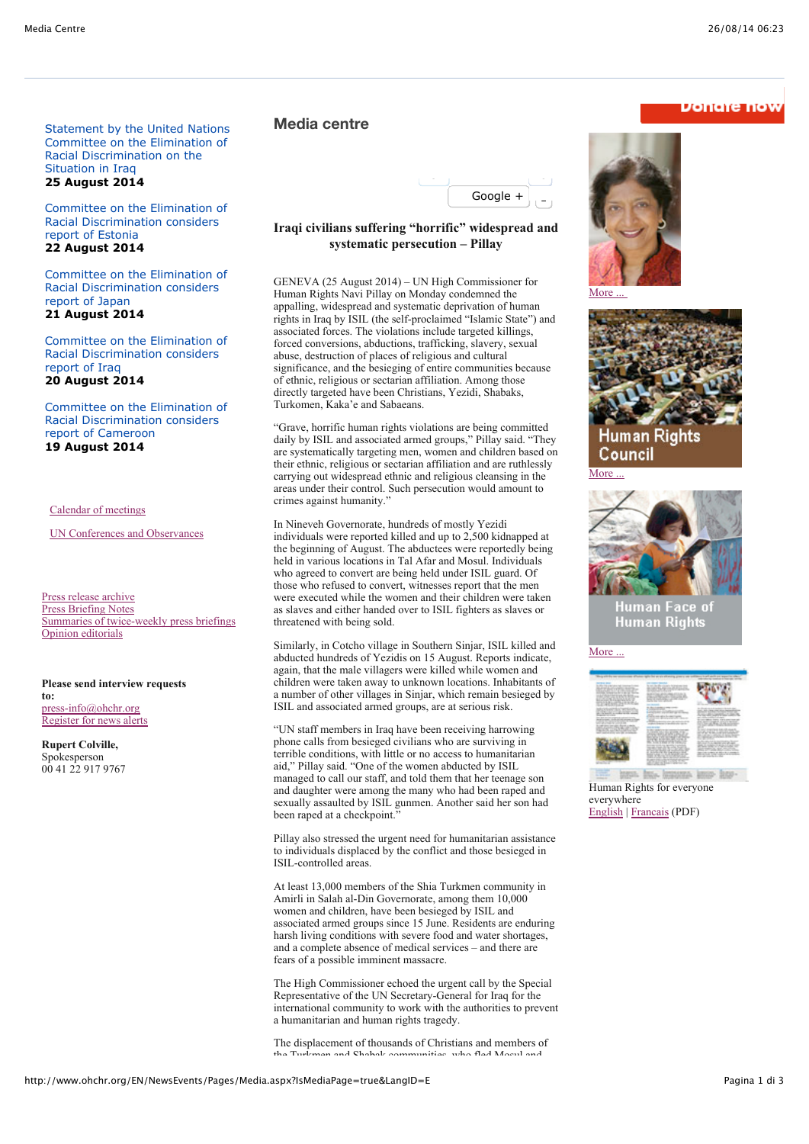**Donare now** 

Statement by the United Nations Committee on the Elimination of Racial Discrimination on the Situation in Iraq **25 August 2014**

Committee on the Elimination of Racial Discrimination considers report of Estonia **22 August 2014**

Committee on the Elimination of Racial Discrimination considers report of Japan **21 August 2014**

Committee on the Elimination of Racial Discrimination considers report of Iraq **20 August 2014**

Committee on the Elimination of Racial Discrimination considers report of Cameroon **19 August 2014**

Calendar of meetings

UN Conferences and Observances

Press release archive Press Briefing Notes Summaries of twice-weekly press briefings Opinion editorials

**Please send interview requests to:** press-info@ohchr.org Register for news alerts

**Rupert Colville,** Spokesperson 00 41 22 917 9767

## **Media centre**



## **Iraqi civilians suffering "horrific" widespread and systematic persecution – Pillay**

GENEVA (25 August 2014) – UN High Commissioner for Human Rights Navi Pillay on Monday condemned the appalling, widespread and systematic deprivation of human rights in Iraq by ISIL (the self-proclaimed "Islamic State") and associated forces. The violations include targeted killings, forced conversions, abductions, trafficking, slavery, sexual abuse, destruction of places of religious and cultural significance, and the besieging of entire communities because of ethnic, religious or sectarian affiliation. Among those directly targeted have been Christians, Yezidi, Shabaks, Turkomen, Kaka'e and Sabaeans.

"Grave, horrific human rights violations are being committed daily by ISIL and associated armed groups," Pillay said. "They are systematically targeting men, women and children based on their ethnic, religious or sectarian affiliation and are ruthlessly carrying out widespread ethnic and religious cleansing in the areas under their control. Such persecution would amount to crimes against humanity."

In Nineveh Governorate, hundreds of mostly Yezidi individuals were reported killed and up to 2,500 kidnapped at the beginning of August. The abductees were reportedly being held in various locations in Tal Afar and Mosul. Individuals who agreed to convert are being held under ISIL guard. Of those who refused to convert, witnesses report that the men were executed while the women and their children were taken as slaves and either handed over to ISIL fighters as slaves or threatened with being sold.

Similarly, in Cotcho village in Southern Sinjar, ISIL killed and abducted hundreds of Yezidis on 15 August. Reports indicate, again, that the male villagers were killed while women and children were taken away to unknown locations. Inhabitants of a number of other villages in Sinjar, which remain besieged by ISIL and associated armed groups, are at serious risk.

"UN staff members in Iraq have been receiving harrowing phone calls from besieged civilians who are surviving in terrible conditions, with little or no access to humanitarian aid," Pillay said. "One of the women abducted by ISIL managed to call our staff, and told them that her teenage son and daughter were among the many who had been raped and sexually assaulted by ISIL gunmen. Another said her son had been raped at a checkpoint.

Pillay also stressed the urgent need for humanitarian assistance to individuals displaced by the conflict and those besieged in ISIL-controlled areas.

At least 13,000 members of the Shia Turkmen community in Amirli in Salah al-Din Governorate, among them 10,000 women and children, have been besieged by ISIL and associated armed groups since 15 June. Residents are enduring harsh living conditions with severe food and water shortages, and a complete absence of medical services – and there are fears of a possible imminent massacre.

The High Commissioner echoed the urgent call by the Special Representative of the UN Secretary-General for Iraq for the international community to work with the authorities to prevent a humanitarian and human rights tragedy.

The displacement of thousands of Christians and members of the Turkmen and Shabak communities, who fled Mosul and



More ...





Human Face of **Human Rights** 

More ...



L Mo. STINGL BEEN B Human Rights for everyone everywhere English | Francais (PDF)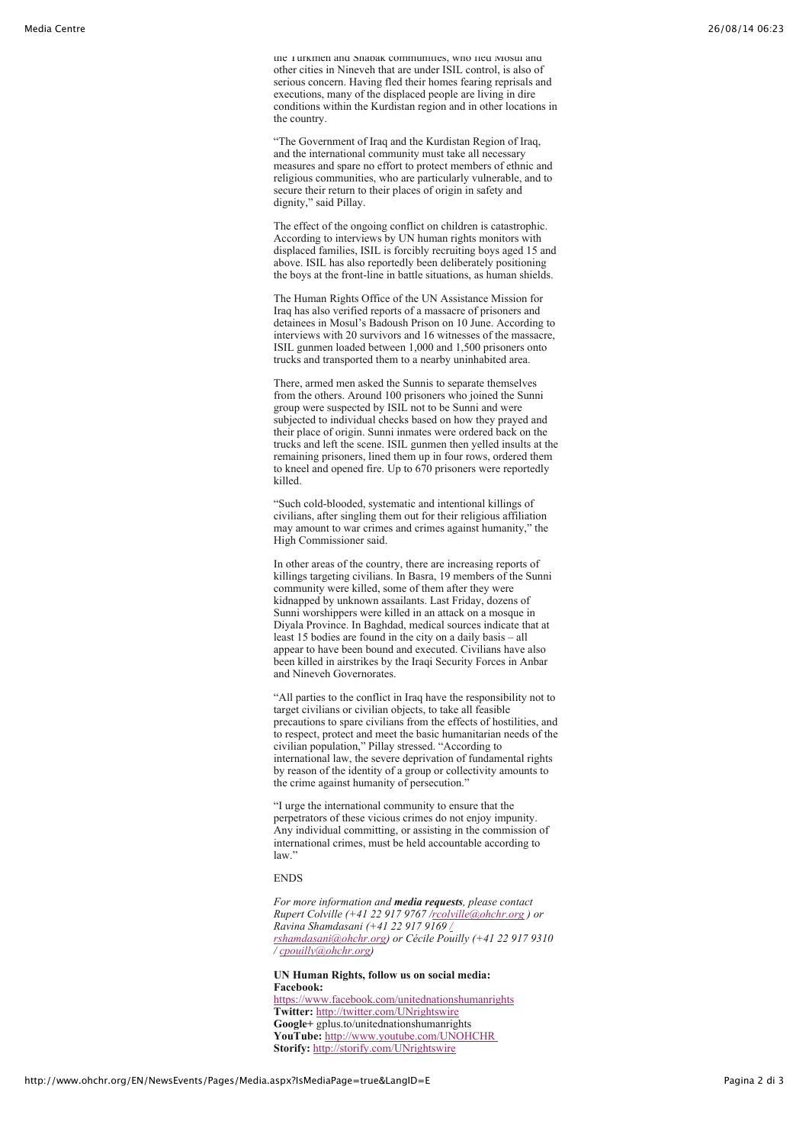the Turkmen and Shabak communities, who fled Mosul and other cities in Nineveh that are under ISIL control, is also of serious concern. Having fled their homes fearing reprisals and executions, many of the displaced people are living in dire conditions within the Kurdistan region and in other locations in the country.

"The Government of Iraq and the Kurdistan Region of Iraq, and the international community must take all necessary measures and spare no effort to protect members of ethnic and religious communities, who are particularly vulnerable, and to secure their return to their places of origin in safety and dignity," said Pillay.

The effect of the ongoing conflict on children is catastrophic. According to interviews by UN human rights monitors with displaced families, ISIL is forcibly recruiting boys aged 15 and above. ISIL has also reportedly been deliberately positioning the boys at the front-line in battle situations, as human shields.

The Human Rights Office of the UN Assistance Mission for Iraq has also verified reports of a massacre of prisoners and detainees in Mosul's Badoush Prison on 10 June. According to interviews with 20 survivors and 16 witnesses of the massacre, ISIL gunmen loaded between 1,000 and 1,500 prisoners onto trucks and transported them to a nearby uninhabited area.

There, armed men asked the Sunnis to separate themselves from the others. Around 100 prisoners who joined the Sunni group were suspected by ISIL not to be Sunni and were subjected to individual checks based on how they prayed and their place of origin. Sunni inmates were ordered back on the trucks and left the scene. ISIL gunmen then yelled insults at the remaining prisoners, lined them up in four rows, ordered them to kneel and opened fire. Up to 670 prisoners were reportedly killed.

"Such cold-blooded, systematic and intentional killings of civilians, after singling them out for their religious affiliation may amount to war crimes and crimes against humanity," the High Commissioner said.

In other areas of the country, there are increasing reports of killings targeting civilians. In Basra, 19 members of the Sunni community were killed, some of them after they were kidnapped by unknown assailants. Last Friday, dozens of Sunni worshippers were killed in an attack on a mosque in Diyala Province. In Baghdad, medical sources indicate that at least 15 bodies are found in the city on a daily basis – all appear to have been bound and executed. Civilians have also been killed in airstrikes by the Iraqi Security Forces in Anbar and Nineveh Governorates.

"All parties to the conflict in Iraq have the responsibility not to target civilians or civilian objects, to take all feasible precautions to spare civilians from the effects of hostilities, and to respect, protect and meet the basic humanitarian needs of the civilian population," Pillay stressed. "According to international law, the severe deprivation of fundamental rights by reason of the identity of a group or collectivity amounts to the crime against humanity of persecution."

"I urge the international community to ensure that the perpetrators of these vicious crimes do not enjoy impunity. Any individual committing, or assisting in the commission of international crimes, must be held accountable according to law.'

ENDS

*For more information and media requests, please contact Rupert Colville (+41 22 917 9767 /rcolville@ohchr.org ) or Ravina Shamdasani (+41 22 917 9169 / rshamdasani@ohchr.org) or Cécile Pouilly (+41 22 917 9310 / cpouilly@ohchr.org)*

**UN Human Rights, follow us on social media: Facebook:** https://www.facebook.com/unitednationshumanrights **Twitter:** http://twitter.com/UNrightswire **Google+** gplus.to/unitednationshumanrights **YouTube:** http://www.youtube.com/UNOHCHR **Storify:** http://storify.com/UNrightswire